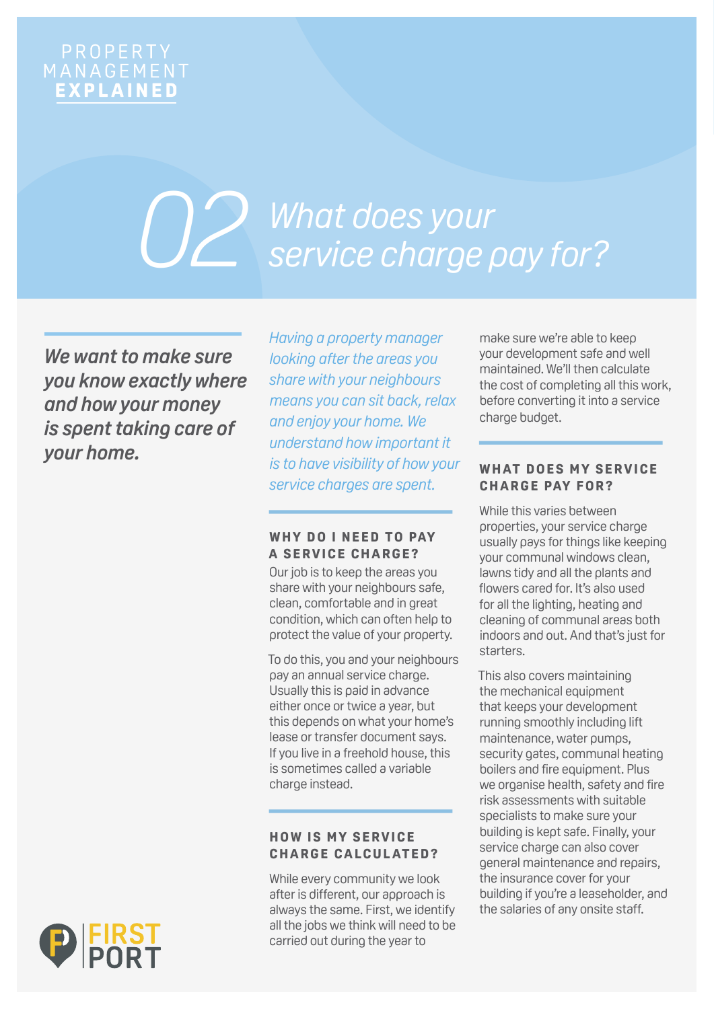# PROPERTY<br>MANAGEMENT<br>EXPLAINED

# *What does your service charge pay for? 02*

*We want to make sure you know exactly where and how your money is spent taking care of your home.*

*Having a property manager looking after the areas you share with your neighbours means you can sit back, relax and enjoy your home. We understand how important it is to have visibility of how your service charges are spent.* 

# WHY DO I NEED TO PAY **A SERVICE CHARGE?**

Our job is to keep the areas you share with your neighbours safe, clean, comfortable and in great condition, which can often help to protect the value of your property.

To do this, you and your neighbours pay an annual service charge. Usually this is paid in advance either once or twice a year, but this depends on what your home's lease or transfer document says. If you live in a freehold house, this is sometimes called a variable charge instead.

# **HOW IS MY SERVICE CHARGE CALCUL ATED?**

While every community we look after is different, our approach is always the same. First, we identify all the jobs we think will need to be carried out during the year to

make sure we're able to keep your development safe and well maintained. We'll then calculate the cost of completing all this work, before converting it into a service charge budget.

# **WHAT DOES MY SERVICE C H A R G E PAY F O R ?**

While this varies between properties, your service charge usually pays for things like keeping your communal windows clean, lawns tidy and all the plants and flowers cared for. It's also used for all the lighting, heating and cleaning of communal areas both indoors and out. And that's just for starters.

This also covers maintaining the mechanical equipment that keeps your development running smoothly including lift maintenance, water pumps, security gates, communal heating boilers and fire equipment. Plus we organise health, safety and fire risk assessments with suitable specialists to make sure your building is kept safe. Finally, your service charge can also cover general maintenance and repairs, the insurance cover for your building if you're a leaseholder, and the salaries of any onsite staff.